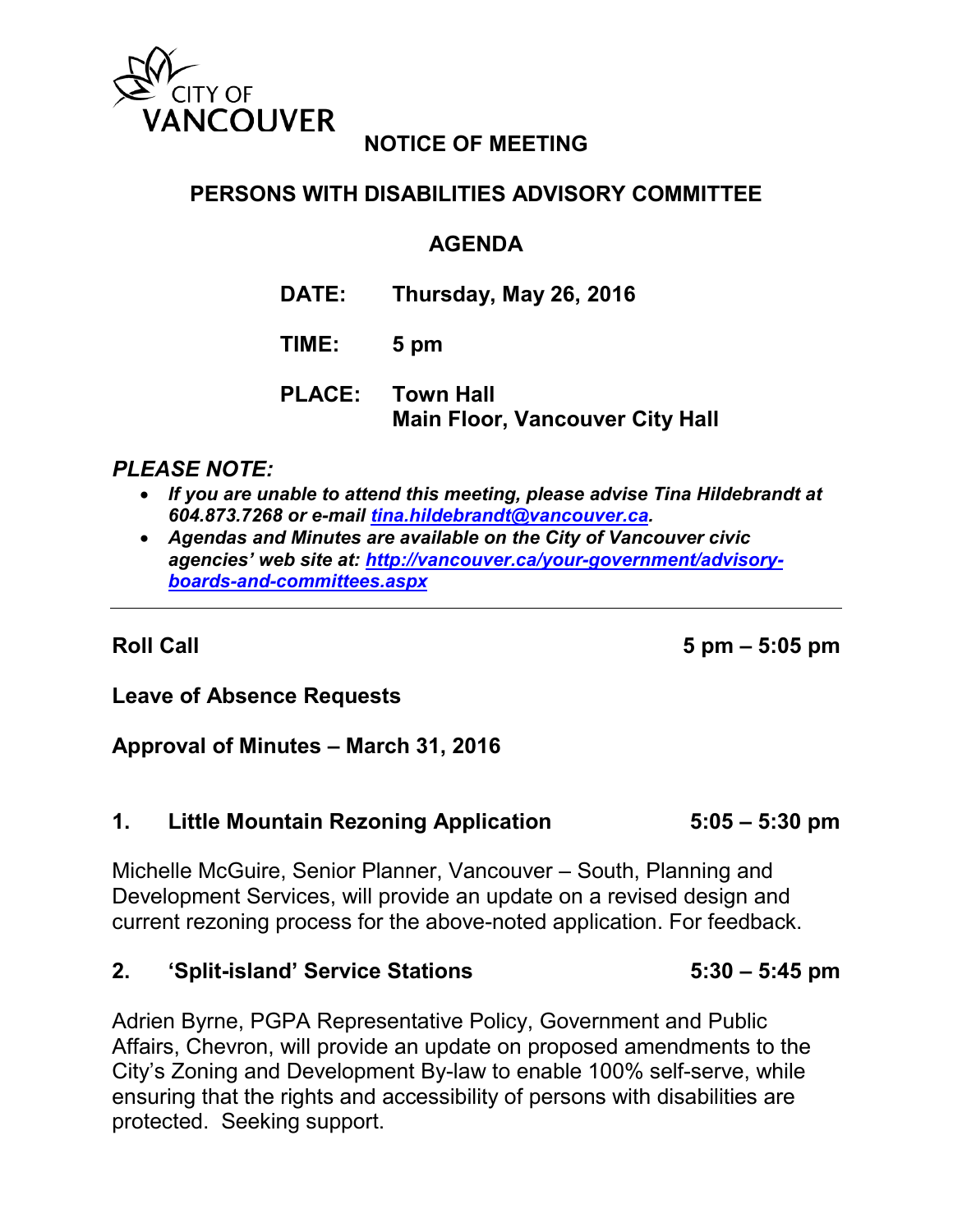

# **NOTICE OF MEETING**

# **PERSONS WITH DISABILITIES ADVISORY COMMITTEE**

## **AGENDA**

**DATE: Thursday, May 26, 2016**

## **TIME: 5 pm**

**PLACE: Town Hall Main Floor, Vancouver City Hall**

## *PLEASE NOTE:*

- *If you are unable to attend this meeting, please advise Tina Hildebrandt at 604.873.7268 or e-mail [tina.hildebrandt@vancouver.ca.](mailto:tina.hildebrandt@vancouver.ca)*
- *Agendas and Minutes are available on the City of Vancouver civic agencies' web site at: [http://vancouver.ca/your-government/advisory](http://vancouver.ca/your-government/advisory-boards-and-committees.aspx)[boards-and-committees.aspx](http://vancouver.ca/your-government/advisory-boards-and-committees.aspx)*

**Roll Call 5 pm – 5:05 pm**

### **Leave of Absence Requests**

### **Approval of Minutes – March 31, 2016**

### **1. Little Mountain Rezoning Application 5:05 – 5:30 pm**

Michelle McGuire, Senior Planner, Vancouver – South, Planning and Development Services, will provide an update on a revised design and current rezoning process for the above-noted application. For feedback.

#### **2. 'Split-island' Service Stations 5:30 – 5:45 pm**

Adrien Byrne, PGPA Representative Policy, Government and Public Affairs, Chevron, will provide an update on proposed amendments to the City's Zoning and Development By-law to enable 100% self-serve, while ensuring that the rights and accessibility of persons with disabilities are protected. Seeking support.